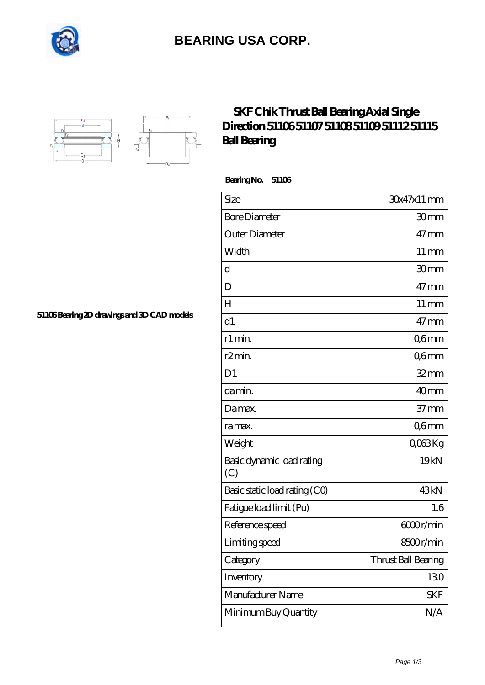

## **[BEARING USA CORP.](https://m.internationalbonsaiforum.com)**



## **[SKF Chik Thrust Ball Bearing Axial Single](https://m.internationalbonsaiforum.com/skf-51106-bearings/) [Direction 51106 51107 51108 51109 51112 51115](https://m.internationalbonsaiforum.com/skf-51106-bearings/) [Ball Bearing](https://m.internationalbonsaiforum.com/skf-51106-bearings/)**

 **Bearing No. 51106**

ľ

| Size                             | 30x47x11 mm         |
|----------------------------------|---------------------|
| <b>Bore Diameter</b>             | 30mm                |
| Outer Diameter                   | $47 \text{mm}$      |
| Width                            | $11 \,\mathrm{mm}$  |
| d                                | 30mm                |
| D                                | $47 \text{mm}$      |
| Н                                | $11 \,\mathrm{mm}$  |
| d1                               | $47 \text{mm}$      |
| r1 min.                          | Q6mm                |
| r <sub>2</sub> min.              | Q6mm                |
| D <sub>1</sub>                   | $32$ mm             |
| da min.                          | 40mm                |
| Damax.                           | $37 \text{mm}$      |
| ra max.                          | Q6mm                |
| Weight                           | QO63Kg              |
| Basic dynamic load rating<br>(C) | 19 <sub>kN</sub>    |
| Basic static load rating (CO)    | 43 <sub>kN</sub>    |
| Fatigue load limit (Pu)          | 1,6                 |
| Reference speed                  | 6000r/min           |
| Limiting speed                   | 8500r/min           |
| Category                         | Thrust Ball Bearing |
| Inventory                        | 130                 |
| Manufacturer Name                | <b>SKF</b>          |
| Minimum Buy Quantity             | N/A                 |

⊺

**[51106 Bearing 2D drawings and 3D CAD models](https://m.internationalbonsaiforum.com/pic-65271534.html)**

٦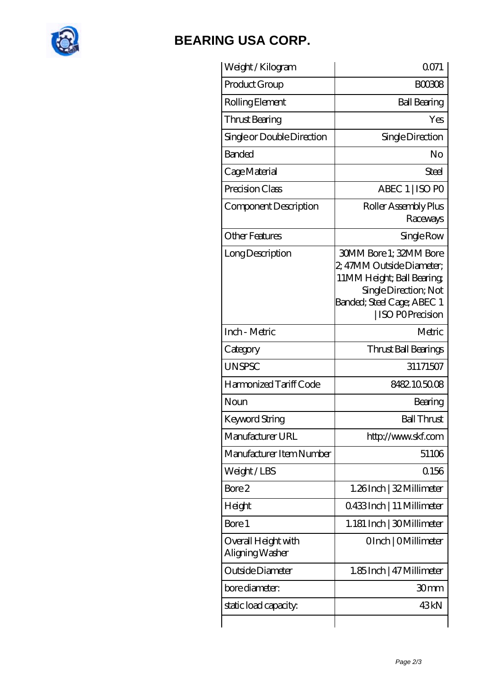

## **[BEARING USA CORP.](https://m.internationalbonsaiforum.com)**

| Weight /Kilogram                       | 0071                                                                                                                                                                      |
|----------------------------------------|---------------------------------------------------------------------------------------------------------------------------------------------------------------------------|
| Product Group                          | <b>BOO308</b>                                                                                                                                                             |
| Rolling Element                        | <b>Ball Bearing</b>                                                                                                                                                       |
| Thrust Bearing                         | Yes                                                                                                                                                                       |
| Single or Double Direction             | Single Direction                                                                                                                                                          |
| <b>Banded</b>                          | No                                                                                                                                                                        |
| Cage Material                          | Steel                                                                                                                                                                     |
| Precision Class                        | ABEC 1   ISO PO                                                                                                                                                           |
| Component Description                  | Roller Assembly Plus<br>Raceways                                                                                                                                          |
| <b>Other Features</b>                  | Single Row                                                                                                                                                                |
| Long Description                       | <b>30MM Bore 1; 32MM Bore</b><br>2, 47MM Outside Diameter;<br>11MM Height; Ball Bearing;<br>Single Direction; Not<br>Banded; Steel Cage; ABEC 1<br><b>ISO POPrecision</b> |
| Inch - Metric                          | Metric                                                                                                                                                                    |
| Category                               | Thrust Ball Bearings                                                                                                                                                      |
| <b>UNSPSC</b>                          | 31171507                                                                                                                                                                  |
| Harmonized Tariff Code                 | 8482105008                                                                                                                                                                |
| Noun                                   | Bearing                                                                                                                                                                   |
| Keyword String                         | <b>Ball Thrust</b>                                                                                                                                                        |
| Manufacturer URL                       | http://www.skf.com                                                                                                                                                        |
| Manufacturer Item Number               | 51106                                                                                                                                                                     |
| Weight/LBS                             | Q156                                                                                                                                                                      |
| Bore 2                                 | 1.26Inch   32 Millimeter                                                                                                                                                  |
| Height                                 | Q433Inch   11 Millimeter                                                                                                                                                  |
| Bore 1                                 | 1.181 Inch   30 Millimeter                                                                                                                                                |
| Overall Height with<br>Aligning Washer | OInch   OMillimeter                                                                                                                                                       |
| Outside Diameter                       | 1.85 Inch   47 Millimeter                                                                                                                                                 |
| bore diameter:                         | 30mm                                                                                                                                                                      |
| static load capacity.                  | 43kN                                                                                                                                                                      |
|                                        |                                                                                                                                                                           |